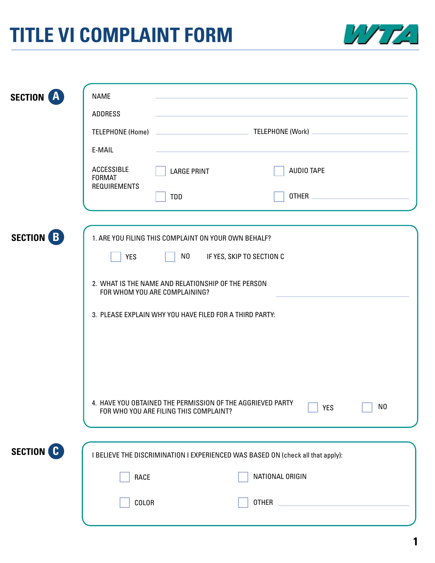## **TITLE VI COMPLAINT FORM**



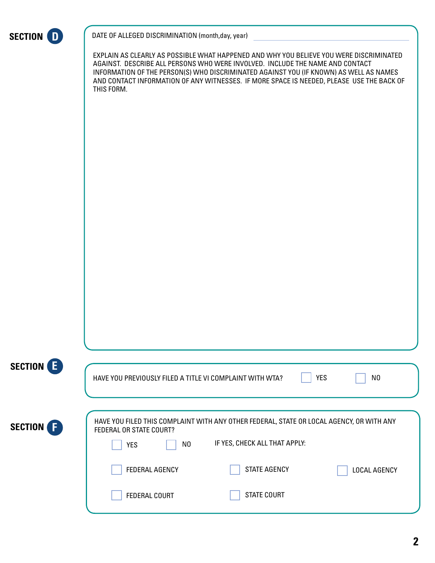

DATE OF ALLEGED DISCRIMINATION (month,day, year)

EXPLAIN AS CLEARLY AS POSSIBLE WHAT HAPPENED AND WHY YOU BELIEVE YOU WERE DISCRIMINATED AGAINST. DESCRIBE ALL PERSONS WHO WERE INVOLVED. INCLUDE THE NAME AND CONTACT INFORMATION OF THE PERSON(S) WHO DISCRIMINATED AGAINST YOU (IF KNOWN) AS WELL AS NAMES AND CONTACT INFORMATION OF ANY WITNESSES. IF MORE SPACE IS NEEDED, PLEASE USE THE BACK OF THIS FORM.

| SECTION E | <b>YES</b><br>HAVE YOU PREVIOUSLY FILED A TITLE VI COMPLAINT WITH WTA?<br>N <sub>0</sub>                                                                                 |
|-----------|--------------------------------------------------------------------------------------------------------------------------------------------------------------------------|
| SECTION F | HAVE YOU FILED THIS COMPLAINT WITH ANY OTHER FEDERAL, STATE OR LOCAL AGENCY, OR WITH ANY<br>FEDERAL OR STATE COURT?<br>IF YES, CHECK ALL THAT APPLY:<br>N0<br><b>YES</b> |
|           | <b>STATE AGENCY</b><br><b>FEDERAL AGENCY</b><br><b>LOCAL AGENCY</b>                                                                                                      |
|           | <b>STATE COURT</b><br><b>FEDERAL COURT</b>                                                                                                                               |